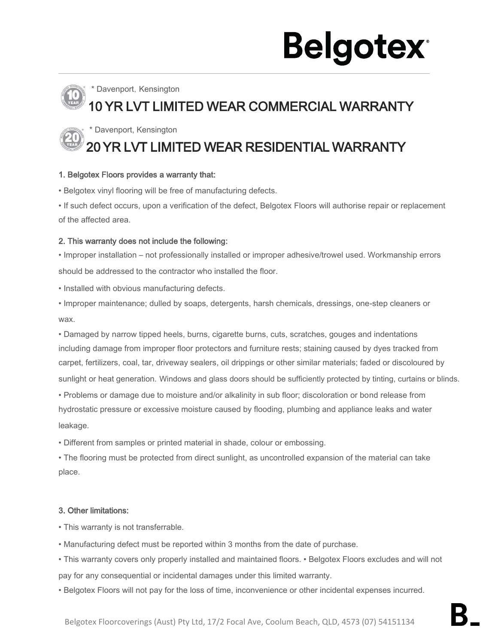# **Belgotex**

### Davenport, Kensington

### 10 YR LVT LIMITED WEAR COMMERCIAL WARRANTY

\* Davenport, Kensington

### 20 YR LVT LIMITED WEAR RESIDENTIAL WARRANTY

### 1. Belgotex Floors provides a warranty that:

• Belgotex vinyl flooring will be free of manufacturing defects.

• If such defect occurs, upon a verification of the defect, Belgotex Floors will authorise repair or replacement of the affected area.

### 2. This warranty does not include the following:

• Improper installation – not professionally installed or improper adhesive/trowel used. Workmanship errors should be addressed to the contractor who installed the floor.

• Installed with obvious manufacturing defects.

• Improper maintenance; dulled by soaps, detergents, harsh chemicals, dressings, one-step cleaners or wax.

• Damaged by narrow tipped heels, burns, cigarette burns, cuts, scratches, gouges and indentations including damage from improper floor protectors and furniture rests; staining caused by dyes tracked from carpet, fertilizers, coal, tar, driveway sealers, oil drippings or other similar materials; faded or discoloured by sunlight or heat generation. Windows and glass doors should be sufficiently protected by tinting, curtains or blinds.

• Problems or damage due to moisture and/or alkalinity in sub floor; discoloration or bond release from hydrostatic pressure or excessive moisture caused by flooding, plumbing and appliance leaks and water leakage.

• Different from samples or printed material in shade, colour or embossing.

• The flooring must be protected from direct sunlight, as uncontrolled expansion of the material can take place.

### 3. Other limitations:

• This warranty is not transferrable.

• Manufacturing defect must be reported within 3 months from the date of purchase.

• This warranty covers only properly installed and maintained floors. • Belgotex Floors excludes and will not pay for any consequential or incidental damages under this limited warranty.

• Belgotex Floors will not pay for the loss of time, inconvenience or other incidental expenses incurred.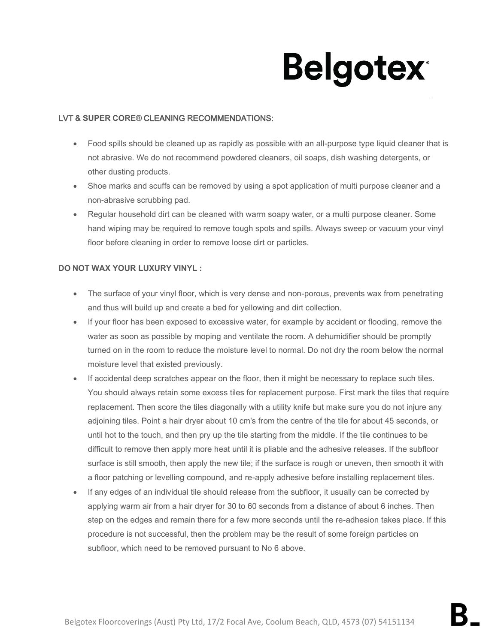# **Belgotex**

### LVT **& SUPER CORE®** CLEANING RECOMMENDATIONS:

- Food spills should be cleaned up as rapidly as possible with an all-purpose type liquid cleaner that is not abrasive. We do not recommend powdered cleaners, oil soaps, dish washing detergents, or other dusting products.
- Shoe marks and scuffs can be removed by using a spot application of multi purpose cleaner and a non-abrasive scrubbing pad.
- Regular household dirt can be cleaned with warm soapy water, or a multi purpose cleaner. Some hand wiping may be required to remove tough spots and spills. Always sweep or vacuum your vinyl floor before cleaning in order to remove loose dirt or particles.

### **DO NOT WAX YOUR LUXURY VINYL :**

- The surface of your vinyl floor, which is very dense and non-porous, prevents wax from penetrating and thus will build up and create a bed for yellowing and dirt collection.
- If your floor has been exposed to excessive water, for example by accident or flooding, remove the water as soon as possible by moping and ventilate the room. A dehumidifier should be promptly turned on in the room to reduce the moisture level to normal. Do not dry the room below the normal moisture level that existed previously.
- If accidental deep scratches appear on the floor, then it might be necessary to replace such tiles. You should always retain some excess tiles for replacement purpose. First mark the tiles that require replacement. Then score the tiles diagonally with a utility knife but make sure you do not injure any adjoining tiles. Point a hair dryer about 10 cm's from the centre of the tile for about 45 seconds, or until hot to the touch, and then pry up the tile starting from the middle. If the tile continues to be difficult to remove then apply more heat until it is pliable and the adhesive releases. If the subfloor surface is still smooth, then apply the new tile; if the surface is rough or uneven, then smooth it with a floor patching or levelling compound, and re-apply adhesive before installing replacement tiles.
- If any edges of an individual tile should release from the subfloor, it usually can be corrected by applying warm air from a hair dryer for 30 to 60 seconds from a distance of about 6 inches. Then step on the edges and remain there for a few more seconds until the re-adhesion takes place. If this procedure is not successful, then the problem may be the result of some foreign particles on subfloor, which need to be removed pursuant to No 6 above.